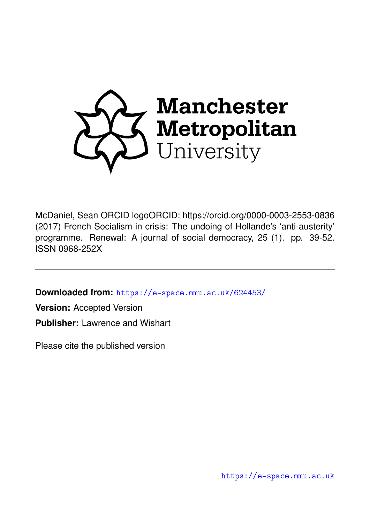

McDaniel, Sean ORCID logoORCID: https://orcid.org/0000-0003-2553-0836 (2017) French Socialism in crisis: The undoing of Hollande's 'anti-austerity' programme. Renewal: A journal of social democracy, 25 (1). pp. 39-52. ISSN 0968-252X

**Downloaded from:** <https://e-space.mmu.ac.uk/624453/>

**Version:** Accepted Version **Publisher:** Lawrence and Wishart

Please cite the published version

<https://e-space.mmu.ac.uk>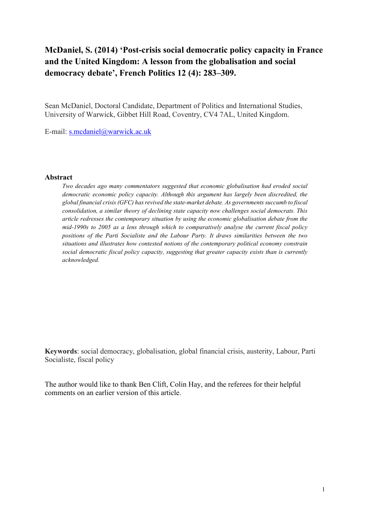# **McDaniel, S. (2014) 'Post-crisis social democratic policy capacity in France and the United Kingdom: A lesson from the globalisation and social democracy debate', French Politics 12 (4): 283–309.**

Sean McDaniel, Doctoral Candidate, Department of Politics and International Studies, University of Warwick, Gibbet Hill Road, Coventry, CV4 7AL, United Kingdom.

E-mail: [s.mcdaniel@warwick.ac.uk](mailto:s.mcdaniel@warwick.ac.uk)

#### **Abstract**

*Two decades ago many commentators suggested that economic globalisation had eroded social democratic economic policy capacity. Although this argument has largely been discredited, the global financial crisis (GFC) has revived the state-market debate. As governments succumb to fiscal consolidation, a similar theory of declining state capacity now challenges social democrats. This article redresses the contemporary situation by using the economic globalisation debate from the mid-1990s to 2005 as a lens through which to comparatively analyse the current fiscal policy positions of the Parti Socialiste and the Labour Party. It draws similarities between the two situations and illustrates how contested notions of the contemporary political economy constrain social democratic fiscal policy capacity, suggesting that greater capacity exists than is currently acknowledged.*

**Keywords**: social democracy, globalisation, global financial crisis, austerity, Labour, Parti Socialiste, fiscal policy

The author would like to thank Ben Clift, Colin Hay, and the referees for their helpful comments on an earlier version of this article.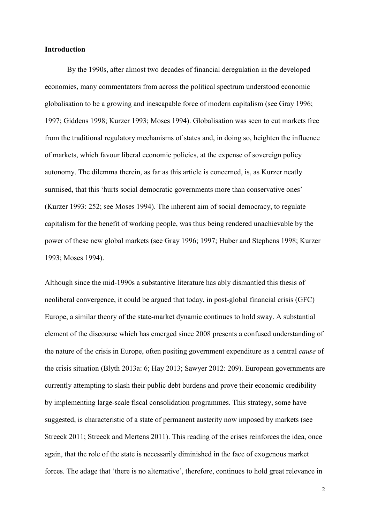# **Introduction**

By the 1990s, after almost two decades of financial deregulation in the developed economies, many commentators from across the political spectrum understood economic globalisation to be a growing and inescapable force of modern capitalism (see Gray 1996; 1997; Giddens 1998; Kurzer 1993; Moses 1994). Globalisation was seen to cut markets free from the traditional regulatory mechanisms of states and, in doing so, heighten the influence of markets, which favour liberal economic policies, at the expense of sovereign policy autonomy. The dilemma therein, as far as this article is concerned, is, as Kurzer neatly surmised, that this 'hurts social democratic governments more than conservative ones' (Kurzer 1993: 252; see Moses 1994). The inherent aim of social democracy, to regulate capitalism for the benefit of working people, was thus being rendered unachievable by the power of these new global markets (see Gray 1996; 1997; Huber and Stephens 1998; Kurzer 1993; Moses 1994).

Although since the mid-1990s a substantive literature has ably dismantled this thesis of neoliberal convergence, it could be argued that today, in post-global financial crisis (GFC) Europe, a similar theory of the state-market dynamic continues to hold sway. A substantial element of the discourse which has emerged since 2008 presents a confused understanding of the nature of the crisis in Europe, often positing government expenditure as a central *cause* of the crisis situation (Blyth 2013a: 6; Hay 2013; Sawyer 2012: 209). European governments are currently attempting to slash their public debt burdens and prove their economic credibility by implementing large-scale fiscal consolidation programmes. This strategy, some have suggested, is characteristic of a state of permanent austerity now imposed by markets (see Streeck 2011; Streeck and Mertens 2011). This reading of the crises reinforces the idea, once again, that the role of the state is necessarily diminished in the face of exogenous market forces. The adage that 'there is no alternative', therefore, continues to hold great relevance in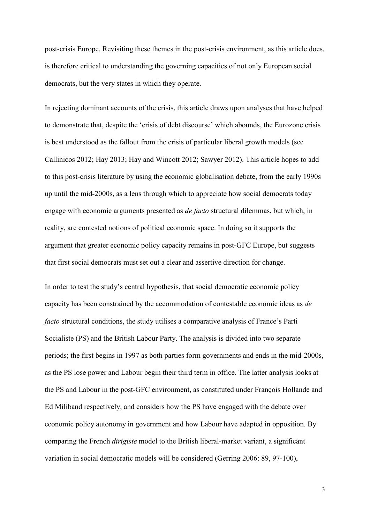post-crisis Europe. Revisiting these themes in the post-crisis environment, as this article does, is therefore critical to understanding the governing capacities of not only European social democrats, but the very states in which they operate.

In rejecting dominant accounts of the crisis, this article draws upon analyses that have helped to demonstrate that, despite the 'crisis of debt discourse' which abounds, the Eurozone crisis is best understood as the fallout from the crisis of particular liberal growth models (see Callinicos 2012; Hay 2013; Hay and Wincott 2012; Sawyer 2012). This article hopes to add to this post-crisis literature by using the economic globalisation debate, from the early 1990s up until the mid-2000s, as a lens through which to appreciate how social democrats today engage with economic arguments presented as *de facto* structural dilemmas, but which, in reality, are contested notions of political economic space. In doing so it supports the argument that greater economic policy capacity remains in post-GFC Europe, but suggests that first social democrats must set out a clear and assertive direction for change.

In order to test the study's central hypothesis, that social democratic economic policy capacity has been constrained by the accommodation of contestable economic ideas as *de facto* structural conditions, the study utilises a comparative analysis of France's Parti Socialiste (PS) and the British Labour Party. The analysis is divided into two separate periods; the first begins in 1997 as both parties form governments and ends in the mid-2000s, as the PS lose power and Labour begin their third term in office. The latter analysis looks at the PS and Labour in the post-GFC environment, as constituted under François Hollande and Ed Miliband respectively, and considers how the PS have engaged with the debate over economic policy autonomy in government and how Labour have adapted in opposition. By comparing the French *dirigiste* model to the British liberal-market variant, a significant variation in social democratic models will be considered (Gerring 2006: 89, 97-100),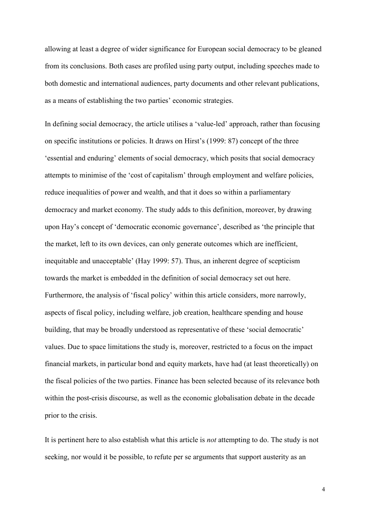allowing at least a degree of wider significance for European social democracy to be gleaned from its conclusions. Both cases are profiled using party output, including speeches made to both domestic and international audiences, party documents and other relevant publications, as a means of establishing the two parties' economic strategies.

In defining social democracy, the article utilises a 'value-led' approach, rather than focusing on specific institutions or policies. It draws on Hirst's (1999: 87) concept of the three 'essential and enduring' elements of social democracy, which posits that social democracy attempts to minimise of the 'cost of capitalism' through employment and welfare policies, reduce inequalities of power and wealth, and that it does so within a parliamentary democracy and market economy. The study adds to this definition, moreover, by drawing upon Hay's concept of 'democratic economic governance', described as 'the principle that the market, left to its own devices, can only generate outcomes which are inefficient, inequitable and unacceptable' (Hay 1999: 57). Thus, an inherent degree of scepticism towards the market is embedded in the definition of social democracy set out here. Furthermore, the analysis of 'fiscal policy' within this article considers, more narrowly, aspects of fiscal policy, including welfare, job creation, healthcare spending and house building, that may be broadly understood as representative of these 'social democratic' values. Due to space limitations the study is, moreover, restricted to a focus on the impact financial markets, in particular bond and equity markets, have had (at least theoretically) on the fiscal policies of the two parties. Finance has been selected because of its relevance both within the post-crisis discourse, as well as the economic globalisation debate in the decade prior to the crisis.

It is pertinent here to also establish what this article is *not* attempting to do. The study is not seeking, nor would it be possible, to refute per se arguments that support austerity as an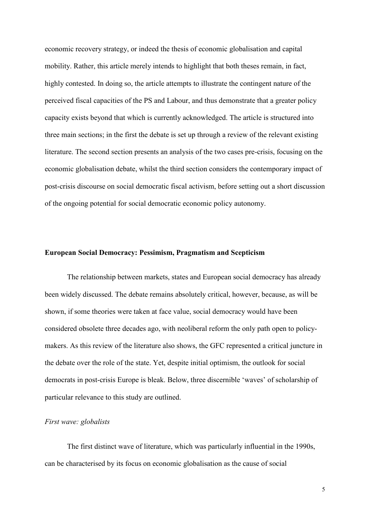economic recovery strategy, or indeed the thesis of economic globalisation and capital mobility. Rather, this article merely intends to highlight that both theses remain, in fact, highly contested. In doing so, the article attempts to illustrate the contingent nature of the perceived fiscal capacities of the PS and Labour, and thus demonstrate that a greater policy capacity exists beyond that which is currently acknowledged. The article is structured into three main sections; in the first the debate is set up through a review of the relevant existing literature. The second section presents an analysis of the two cases pre-crisis, focusing on the economic globalisation debate, whilst the third section considers the contemporary impact of post-crisis discourse on social democratic fiscal activism, before setting out a short discussion of the ongoing potential for social democratic economic policy autonomy.

# **European Social Democracy: Pessimism, Pragmatism and Scepticism**

The relationship between markets, states and European social democracy has already been widely discussed. The debate remains absolutely critical, however, because, as will be shown, if some theories were taken at face value, social democracy would have been considered obsolete three decades ago, with neoliberal reform the only path open to policymakers. As this review of the literature also shows, the GFC represented a critical juncture in the debate over the role of the state. Yet, despite initial optimism, the outlook for social democrats in post-crisis Europe is bleak. Below, three discernible 'waves' of scholarship of particular relevance to this study are outlined.

# *First wave: globalists*

The first distinct wave of literature, which was particularly influential in the 1990s, can be characterised by its focus on economic globalisation as the cause of social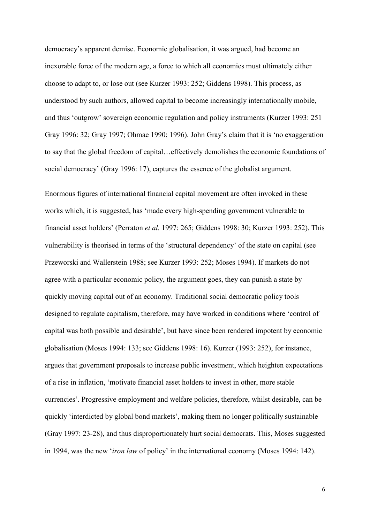democracy's apparent demise. Economic globalisation, it was argued, had become an inexorable force of the modern age, a force to which all economies must ultimately either choose to adapt to, or lose out (see Kurzer 1993: 252; Giddens 1998). This process, as understood by such authors, allowed capital to become increasingly internationally mobile, and thus 'outgrow' sovereign economic regulation and policy instruments (Kurzer 1993: 251 Gray 1996: 32; Gray 1997; Ohmae 1990; 1996). John Gray's claim that it is 'no exaggeration to say that the global freedom of capital…effectively demolishes the economic foundations of social democracy' (Gray 1996: 17), captures the essence of the globalist argument.

Enormous figures of international financial capital movement are often invoked in these works which, it is suggested, has 'made every high-spending government vulnerable to financial asset holders' (Perraton *et al.* 1997: 265; Giddens 1998: 30; Kurzer 1993: 252). This vulnerability is theorised in terms of the 'structural dependency' of the state on capital (see Przeworski and Wallerstein 1988; see Kurzer 1993: 252; Moses 1994). If markets do not agree with a particular economic policy, the argument goes, they can punish a state by quickly moving capital out of an economy. Traditional social democratic policy tools designed to regulate capitalism, therefore, may have worked in conditions where 'control of capital was both possible and desirable', but have since been rendered impotent by economic globalisation (Moses 1994: 133; see Giddens 1998: 16). Kurzer (1993: 252), for instance, argues that government proposals to increase public investment, which heighten expectations of a rise in inflation, 'motivate financial asset holders to invest in other, more stable currencies'. Progressive employment and welfare policies, therefore, whilst desirable, can be quickly 'interdicted by global bond markets', making them no longer politically sustainable (Gray 1997: 23-28), and thus disproportionately hurt social democrats. This, Moses suggested in 1994, was the new '*iron law* of policy' in the international economy (Moses 1994: 142).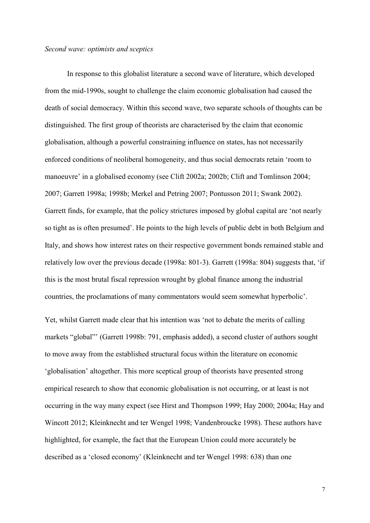# *Second wave: optimists and sceptics*

In response to this globalist literature a second wave of literature, which developed from the mid-1990s, sought to challenge the claim economic globalisation had caused the death of social democracy. Within this second wave, two separate schools of thoughts can be distinguished. The first group of theorists are characterised by the claim that economic globalisation, although a powerful constraining influence on states, has not necessarily enforced conditions of neoliberal homogeneity, and thus social democrats retain 'room to manoeuvre' in a globalised economy (see Clift 2002a; 2002b; Clift and Tomlinson 2004; 2007; Garrett 1998a; 1998b; Merkel and Petring 2007; Pontusson 2011; Swank 2002). Garrett finds, for example, that the policy strictures imposed by global capital are 'not nearly so tight as is often presumed'. He points to the high levels of public debt in both Belgium and Italy, and shows how interest rates on their respective government bonds remained stable and relatively low over the previous decade (1998a: 801-3). Garrett (1998a: 804) suggests that, 'if this is the most brutal fiscal repression wrought by global finance among the industrial countries, the proclamations of many commentators would seem somewhat hyperbolic'.

Yet, whilst Garrett made clear that his intention was 'not to debate the merits of calling markets "global"' (Garrett 1998b: 791, emphasis added), a second cluster of authors sought to move away from the established structural focus within the literature on economic 'globalisation' altogether. This more sceptical group of theorists have presented strong empirical research to show that economic globalisation is not occurring, or at least is not occurring in the way many expect (see Hirst and Thompson 1999; Hay 2000; 2004a; Hay and Wincott 2012; Kleinknecht and ter Wengel 1998; Vandenbroucke 1998). These authors have highlighted, for example, the fact that the European Union could more accurately be described as a 'closed economy' (Kleinknecht and ter Wengel 1998: 638) than one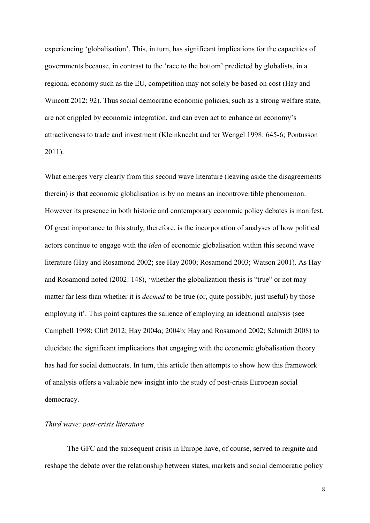experiencing 'globalisation'. This, in turn, has significant implications for the capacities of governments because, in contrast to the 'race to the bottom' predicted by globalists, in a regional economy such as the EU, competition may not solely be based on cost (Hay and Wincott 2012: 92). Thus social democratic economic policies, such as a strong welfare state, are not crippled by economic integration, and can even act to enhance an economy's attractiveness to trade and investment (Kleinknecht and ter Wengel 1998: 645-6; Pontusson 2011).

What emerges very clearly from this second wave literature (leaving aside the disagreements therein) is that economic globalisation is by no means an incontrovertible phenomenon. However its presence in both historic and contemporary economic policy debates is manifest. Of great importance to this study, therefore, is the incorporation of analyses of how political actors continue to engage with the *idea* of economic globalisation within this second wave literature (Hay and Rosamond 2002; see Hay 2000; Rosamond 2003; Watson 2001). As Hay and Rosamond noted (2002: 148), 'whether the globalization thesis is "true" or not may matter far less than whether it is *deemed* to be true (or, quite possibly, just useful) by those employing it'. This point captures the salience of employing an ideational analysis (see Campbell 1998; Clift 2012; Hay 2004a; 2004b; Hay and Rosamond 2002; Schmidt 2008) to elucidate the significant implications that engaging with the economic globalisation theory has had for social democrats. In turn, this article then attempts to show how this framework of analysis offers a valuable new insight into the study of post-crisis European social democracy.

# *Third wave: post-crisis literature*

The GFC and the subsequent crisis in Europe have, of course, served to reignite and reshape the debate over the relationship between states, markets and social democratic policy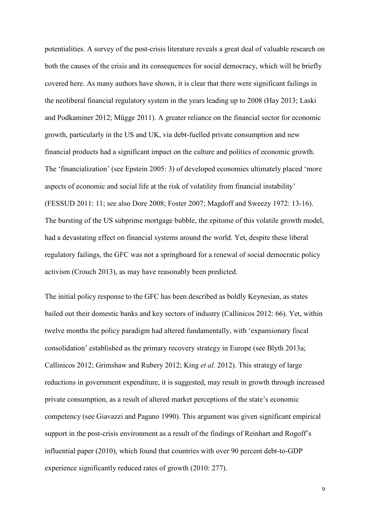potentialities. A survey of the post-crisis literature reveals a great deal of valuable research on both the causes of the crisis and its consequences for social democracy, which will be briefly covered here. As many authors have shown, it is clear that there were significant failings in the neoliberal financial regulatory system in the years leading up to 2008 (Hay 2013; Laski and Podkaminer 2012; Mügge 2011). A greater reliance on the financial sector for economic growth, particularly in the US and UK, via debt-fuelled private consumption and new financial products had a significant impact on the culture and politics of economic growth. The 'financialization' (see Epstein 2005: 3) of developed economies ultimately placed 'more aspects of economic and social life at the risk of volatility from financial instability' (FESSUD 2011: 11; see also Dore 2008; Foster 2007; Magdoff and Sweezy 1972: 13-16). The bursting of the US subprime mortgage bubble, the epitome of this volatile growth model, had a devastating effect on financial systems around the world. Yet, despite these liberal regulatory failings, the GFC was not a springboard for a renewal of social democratic policy activism (Crouch 2013), as may have reasonably been predicted.

The initial policy response to the GFC has been described as boldly Keynesian, as states bailed out their domestic banks and key sectors of industry (Callinicos 2012: 66). Yet, within twelve months the policy paradigm had altered fundamentally, with 'expansionary fiscal consolidation' established as the primary recovery strategy in Europe (see Blyth 2013a; Callinicos 2012; Grimshaw and Rubery 2012; King *et al.* 2012). This strategy of large reductions in government expenditure, it is suggested, may result in growth through increased private consumption, as a result of altered market perceptions of the state's economic competency (see Giavazzi and Pagano 1990). This argument was given significant empirical support in the post-crisis environment as a result of the findings of Reinhart and Rogoff's influential paper (2010), which found that countries with over 90 percent debt-to-GDP experience significantly reduced rates of growth (2010: 277).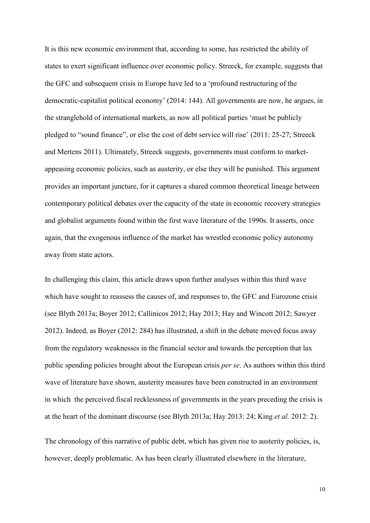It is this new economic environment that, according to some, has restricted the ability of states to exert significant influence over economic policy. Streeck, for example, suggests that the GFC and subsequent crisis in Europe have led to a 'profound restructuring of the democratic-capitalist political economy' (2014: 144). All governments are now, he argues, in the stranglehold of international markets, as now all political parties 'must be publicly pledged to "sound finance", or else the cost of debt service will rise' (2011: 25-27; Streeck and Mertens 2011). Ultimately, Streeck suggests, governments must conform to marketappeasing economic policies, such as austerity, or else they will be punished. This argument provides an important juncture, for it captures a shared common theoretical lineage between contemporary political debates over the capacity of the state in economic recovery strategies and globalist arguments found within the first wave literature of the 1990s. It asserts, once again, that the exogenous influence of the market has wrestled economic policy autonomy away from state actors.

In challenging this claim, this article draws upon further analyses within this third wave which have sought to reassess the causes of, and responses to, the GFC and Eurozone crisis (see Blyth 2013a; Boyer 2012; Callinicos 2012; Hay 2013; Hay and Wincott 2012; Sawyer 2012). Indeed, as Boyer (2012: 284) has illustrated, a shift in the debate moved focus away from the regulatory weaknesses in the financial sector and towards the perception that lax public spending policies brought about the European crisis *per se*. As authors within this third wave of literature have shown, austerity measures have been constructed in an environment in which the perceived fiscal recklessness of governments in the years preceding the crisis is at the heart of the dominant discourse (see Blyth 2013a; Hay 2013: 24; King *et al.* 2012: 2).

The chronology of this narrative of public debt, which has given rise to austerity policies, is, however, deeply problematic. As has been clearly illustrated elsewhere in the literature,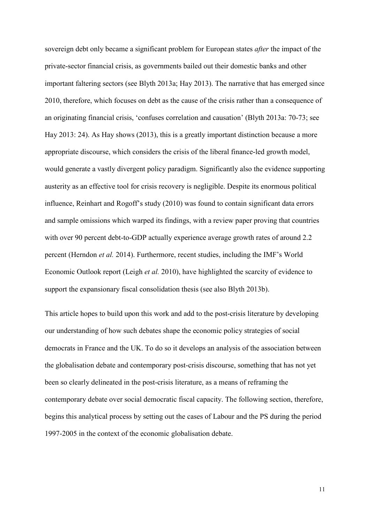sovereign debt only became a significant problem for European states *after* the impact of the private-sector financial crisis, as governments bailed out their domestic banks and other important faltering sectors (see Blyth 2013a; Hay 2013). The narrative that has emerged since 2010, therefore, which focuses on debt as the cause of the crisis rather than a consequence of an originating financial crisis, 'confuses correlation and causation' (Blyth 2013a: 70-73; see Hay 2013: 24). As Hay shows (2013), this is a greatly important distinction because a more appropriate discourse, which considers the crisis of the liberal finance-led growth model, would generate a vastly divergent policy paradigm. Significantly also the evidence supporting austerity as an effective tool for crisis recovery is negligible. Despite its enormous political influence, Reinhart and Rogoff's study (2010) was found to contain significant data errors and sample omissions which warped its findings, with a review paper proving that countries with over 90 percent debt-to-GDP actually experience average growth rates of around 2.2 percent (Herndon *et al.* 2014). Furthermore, recent studies, including the IMF's World Economic Outlook report (Leigh *et al.* 2010), have highlighted the scarcity of evidence to support the expansionary fiscal consolidation thesis (see also Blyth 2013b).

This article hopes to build upon this work and add to the post-crisis literature by developing our understanding of how such debates shape the economic policy strategies of social democrats in France and the UK. To do so it develops an analysis of the association between the globalisation debate and contemporary post-crisis discourse, something that has not yet been so clearly delineated in the post-crisis literature, as a means of reframing the contemporary debate over social democratic fiscal capacity. The following section, therefore, begins this analytical process by setting out the cases of Labour and the PS during the period 1997-2005 in the context of the economic globalisation debate.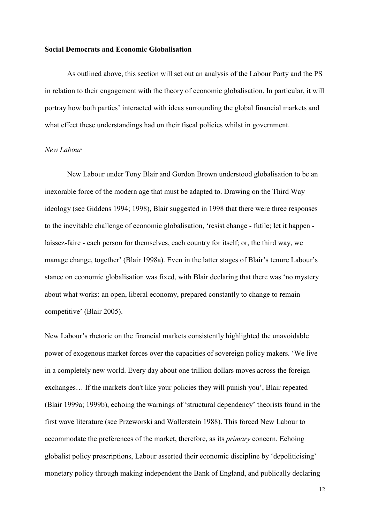#### **Social Democrats and Economic Globalisation**

As outlined above, this section will set out an analysis of the Labour Party and the PS in relation to their engagement with the theory of economic globalisation. In particular, it will portray how both parties' interacted with ideas surrounding the global financial markets and what effect these understandings had on their fiscal policies whilst in government.

# *New Labour*

New Labour under Tony Blair and Gordon Brown understood globalisation to be an inexorable force of the modern age that must be adapted to. Drawing on the Third Way ideology (see Giddens 1994; 1998), Blair suggested in 1998 that there were three responses to the inevitable challenge of economic globalisation, 'resist change - futile; let it happen laissez-faire - each person for themselves, each country for itself; or, the third way, we manage change, together' (Blair 1998a). Even in the latter stages of Blair's tenure Labour's stance on economic globalisation was fixed, with Blair declaring that there was 'no mystery about what works: an open, liberal economy, prepared constantly to change to remain competitive' (Blair 2005).

New Labour's rhetoric on the financial markets consistently highlighted the unavoidable power of exogenous market forces over the capacities of sovereign policy makers. 'We live in a completely new world. Every day about one trillion dollars moves across the foreign exchanges… If the markets don't like your policies they will punish you', Blair repeated (Blair 1999a; 1999b), echoing the warnings of 'structural dependency' theorists found in the first wave literature (see Przeworski and Wallerstein 1988). This forced New Labour to accommodate the preferences of the market, therefore, as its *primary* concern. Echoing globalist policy prescriptions, Labour asserted their economic discipline by 'depoliticising' monetary policy through making independent the Bank of England, and publically declaring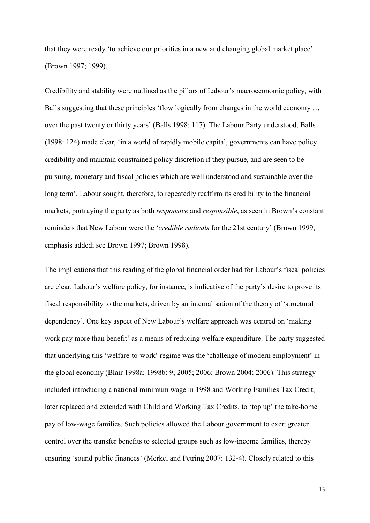that they were ready 'to achieve our priorities in a new and changing global market place' (Brown 1997; 1999).

Credibility and stability were outlined as the pillars of Labour's macroeconomic policy, with Balls suggesting that these principles 'flow logically from changes in the world economy ... over the past twenty or thirty years' (Balls 1998: 117). The Labour Party understood, Balls (1998: 124) made clear, 'in a world of rapidly mobile capital, governments can have policy credibility and maintain constrained policy discretion if they pursue, and are seen to be pursuing, monetary and fiscal policies which are well understood and sustainable over the long term'. Labour sought, therefore, to repeatedly reaffirm its credibility to the financial markets, portraying the party as both *responsive* and *responsible*, as seen in Brown's constant reminders that New Labour were the '*credible radicals* for the 21st century' (Brown 1999, emphasis added; see Brown 1997; Brown 1998).

The implications that this reading of the global financial order had for Labour's fiscal policies are clear. Labour's welfare policy, for instance, is indicative of the party's desire to prove its fiscal responsibility to the markets, driven by an internalisation of the theory of 'structural dependency'. One key aspect of New Labour's welfare approach was centred on 'making work pay more than benefit' as a means of reducing welfare expenditure. The party suggested that underlying this 'welfare-to-work' regime was the 'challenge of modern employment' in the global economy (Blair 1998a; 1998b: 9; 2005; 2006; Brown 2004; 2006). This strategy included introducing a national minimum wage in 1998 and Working Families Tax Credit, later replaced and extended with Child and Working Tax Credits, to 'top up' the take-home pay of low-wage families. Such policies allowed the Labour government to exert greater control over the transfer benefits to selected groups such as low-income families, thereby ensuring 'sound public finances' (Merkel and Petring 2007: 132-4). Closely related to this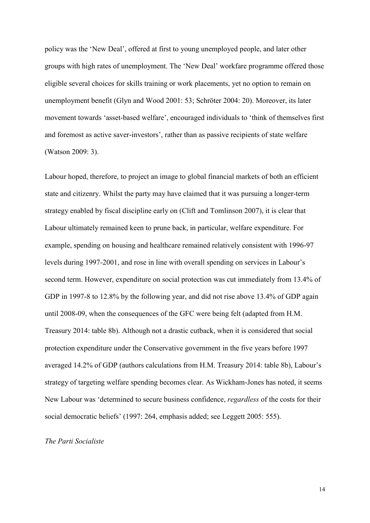policy was the 'New Deal', offered at first to young unemployed people, and later other groups with high rates of unemployment. The 'New Deal' workfare programme offered those eligible several choices for skills training or work placements, yet no option to remain on unemployment benefit (Glyn and Wood 2001: 53; Schröter 2004: 20). Moreover, its later movement towards 'asset-based welfare', encouraged individuals to 'think of themselves first and foremost as active saver-investors', rather than as passive recipients of state welfare (Watson 2009: 3).

Labour hoped, therefore, to project an image to global financial markets of both an efficient state and citizenry. Whilst the party may have claimed that it was pursuing a longer-term strategy enabled by fiscal discipline early on (Clift and Tomlinson 2007), it is clear that Labour ultimately remained keen to prune back, in particular, welfare expenditure. For example, spending on housing and healthcare remained relatively consistent with 1996-97 levels during 1997-2001, and rose in line with overall spending on services in Labour's second term. However, expenditure on social protection was cut immediately from 13.4% of GDP in 1997-8 to 12.8% by the following year, and did not rise above 13.4% of GDP again until 2008-09, when the consequences of the GFC were being felt (adapted from H.M. Treasury 2014: table 8b). Although not a drastic cutback, when it is considered that social protection expenditure under the Conservative government in the five years before 1997 averaged 14.2% of GDP (authors calculations from H.M. Treasury 2014: table 8b), Labour's strategy of targeting welfare spending becomes clear. As Wickham-Jones has noted, it seems New Labour was 'determined to secure business confidence, *regardless* of the costs for their social democratic beliefs' (1997: 264, emphasis added; see Leggett 2005: 555).

# *The Parti Socialiste*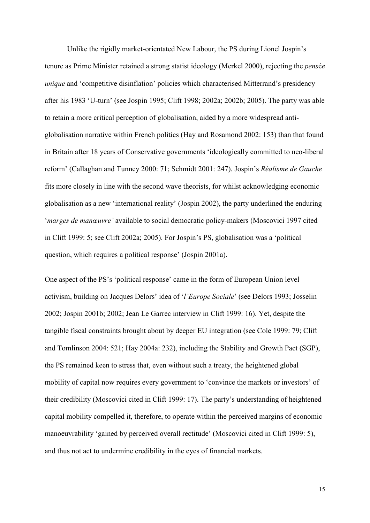Unlike the rigidly market-orientated New Labour, the PS during Lionel Jospin's tenure as Prime Minister retained a strong statist ideology (Merkel 2000), rejecting the *pens*é*e unique* and 'competitive disinflation' policies which characterised Mitterrand's presidency after his 1983 'U-turn' (see Jospin 1995; Clift 1998; 2002a; 2002b; 2005). The party was able to retain a more critical perception of globalisation, aided by a more widespread antiglobalisation narrative within French politics (Hay and Rosamond 2002: 153) than that found in Britain after 18 years of Conservative governments 'ideologically committed to neo-liberal reform' (Callaghan and Tunney 2000: 71; Schmidt 2001: 247). Jospin's *Réalisme de Gauche*  fits more closely in line with the second wave theorists, for whilst acknowledging economic globalisation as a new 'international reality' (Jospin 2002), the party underlined the enduring '*marges de manœuvre'* available to social democratic policy-makers (Moscovici 1997 cited in Clift 1999: 5; see Clift 2002a; 2005). For Jospin's PS, globalisation was a 'political question, which requires a political response' (Jospin 2001a).

One aspect of the PS's 'political response' came in the form of European Union level activism, building on Jacques Delors' idea of '*l'Europe Sociale*' (see Delors 1993; Josselin 2002; Jospin 2001b; 2002; Jean Le Garrec interview in Clift 1999: 16). Yet, despite the tangible fiscal constraints brought about by deeper EU integration (see Cole 1999: 79; Clift and Tomlinson 2004: 521; Hay 2004a: 232), including the Stability and Growth Pact (SGP), the PS remained keen to stress that, even without such a treaty, the heightened global mobility of capital now requires every government to 'convince the markets or investors' of their credibility (Moscovici cited in Clift 1999: 17). The party's understanding of heightened capital mobility compelled it, therefore, to operate within the perceived margins of economic manoeuvrability 'gained by perceived overall rectitude' (Moscovici cited in Clift 1999: 5), and thus not act to undermine credibility in the eyes of financial markets.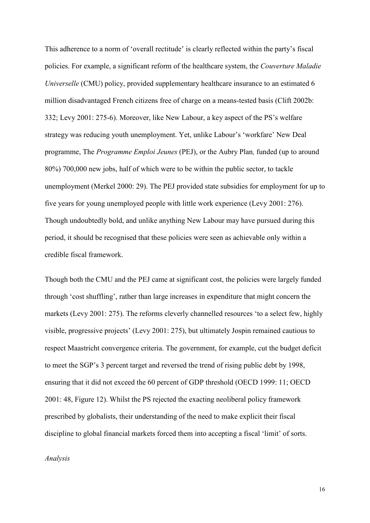This adherence to a norm of 'overall rectitude' is clearly reflected within the party's fiscal policies. For example, a significant reform of the healthcare system, the *Couverture Maladie Universelle* (CMU) policy, provided supplementary healthcare insurance to an estimated 6 million disadvantaged French citizens free of charge on a means-tested basis (Clift 2002b: 332; Levy 2001: 275-6). Moreover, like New Labour, a key aspect of the PS's welfare strategy was reducing youth unemployment. Yet, unlike Labour's 'workfare' New Deal programme, The *Programme Emploi Jeunes* (PEJ), or the Aubry Plan*,* funded (up to around 80%) 700,000 new jobs, half of which were to be within the public sector, to tackle unemployment (Merkel 2000: 29). The PEJ provided state subsidies for employment for up to five years for young unemployed people with little work experience (Levy 2001: 276). Though undoubtedly bold, and unlike anything New Labour may have pursued during this period, it should be recognised that these policies were seen as achievable only within a credible fiscal framework.

Though both the CMU and the PEJ came at significant cost, the policies were largely funded through 'cost shuffling', rather than large increases in expenditure that might concern the markets (Levy 2001: 275). The reforms cleverly channelled resources 'to a select few, highly visible, progressive projects' (Levy 2001: 275), but ultimately Jospin remained cautious to respect Maastricht convergence criteria. The government, for example, cut the budget deficit to meet the SGP's 3 percent target and reversed the trend of rising public debt by 1998, ensuring that it did not exceed the 60 percent of GDP threshold (OECD 1999: 11; OECD 2001: 48, Figure 12). Whilst the PS rejected the exacting neoliberal policy framework prescribed by globalists, their understanding of the need to make explicit their fiscal discipline to global financial markets forced them into accepting a fiscal 'limit' of sorts.

*Analysis*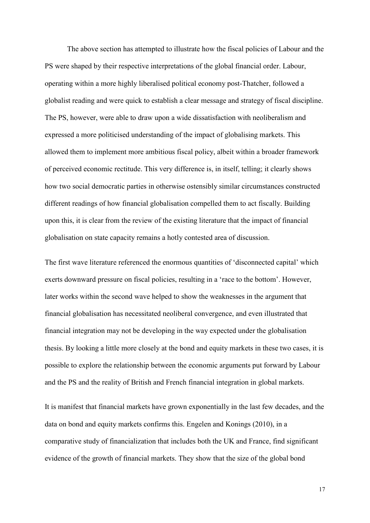The above section has attempted to illustrate how the fiscal policies of Labour and the PS were shaped by their respective interpretations of the global financial order. Labour, operating within a more highly liberalised political economy post-Thatcher, followed a globalist reading and were quick to establish a clear message and strategy of fiscal discipline. The PS, however, were able to draw upon a wide dissatisfaction with neoliberalism and expressed a more politicised understanding of the impact of globalising markets. This allowed them to implement more ambitious fiscal policy, albeit within a broader framework of perceived economic rectitude. This very difference is, in itself, telling; it clearly shows how two social democratic parties in otherwise ostensibly similar circumstances constructed different readings of how financial globalisation compelled them to act fiscally. Building upon this, it is clear from the review of the existing literature that the impact of financial globalisation on state capacity remains a hotly contested area of discussion.

The first wave literature referenced the enormous quantities of 'disconnected capital' which exerts downward pressure on fiscal policies, resulting in a 'race to the bottom'. However, later works within the second wave helped to show the weaknesses in the argument that financial globalisation has necessitated neoliberal convergence, and even illustrated that financial integration may not be developing in the way expected under the globalisation thesis. By looking a little more closely at the bond and equity markets in these two cases, it is possible to explore the relationship between the economic arguments put forward by Labour and the PS and the reality of British and French financial integration in global markets.

It is manifest that financial markets have grown exponentially in the last few decades, and the data on bond and equity markets confirms this. Engelen and Konings (2010), in a comparative study of financialization that includes both the UK and France, find significant evidence of the growth of financial markets. They show that the size of the global bond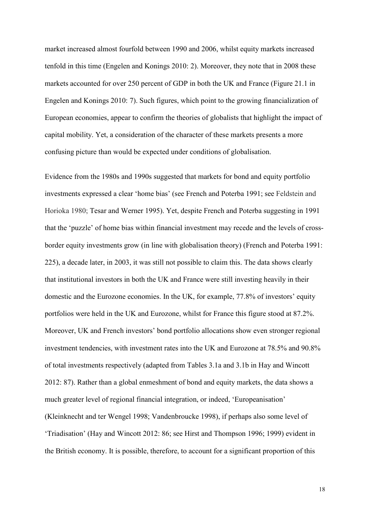market increased almost fourfold between 1990 and 2006, whilst equity markets increased tenfold in this time (Engelen and Konings 2010: 2). Moreover, they note that in 2008 these markets accounted for over 250 percent of GDP in both the UK and France (Figure 21.1 in Engelen and Konings 2010: 7). Such figures, which point to the growing financialization of European economies, appear to confirm the theories of globalists that highlight the impact of capital mobility. Yet, a consideration of the character of these markets presents a more confusing picture than would be expected under conditions of globalisation.

Evidence from the 1980s and 1990s suggested that markets for bond and equity portfolio investments expressed a clear 'home bias' (see French and Poterba 1991; see Feldstein and Horioka 1980; Tesar and Werner 1995). Yet, despite French and Poterba suggesting in 1991 that the 'puzzle' of home bias within financial investment may recede and the levels of crossborder equity investments grow (in line with globalisation theory) (French and Poterba 1991: 225), a decade later, in 2003, it was still not possible to claim this. The data shows clearly that institutional investors in both the UK and France were still investing heavily in their domestic and the Eurozone economies. In the UK, for example, 77.8% of investors' equity portfolios were held in the UK and Eurozone, whilst for France this figure stood at 87.2%. Moreover, UK and French investors' bond portfolio allocations show even stronger regional investment tendencies, with investment rates into the UK and Eurozone at 78.5% and 90.8% of total investments respectively (adapted from Tables 3.1a and 3.1b in Hay and Wincott 2012: 87). Rather than a global enmeshment of bond and equity markets, the data shows a much greater level of regional financial integration, or indeed, 'Europeanisation' (Kleinknecht and ter Wengel 1998; Vandenbroucke 1998), if perhaps also some level of 'Triadisation' (Hay and Wincott 2012: 86; see Hirst and Thompson 1996; 1999) evident in the British economy. It is possible, therefore, to account for a significant proportion of this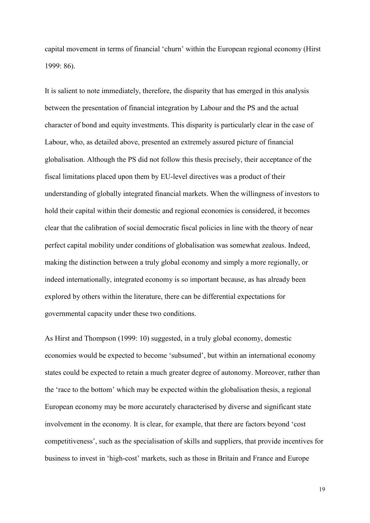capital movement in terms of financial 'churn' within the European regional economy (Hirst 1999: 86).

It is salient to note immediately, therefore, the disparity that has emerged in this analysis between the presentation of financial integration by Labour and the PS and the actual character of bond and equity investments. This disparity is particularly clear in the case of Labour, who, as detailed above, presented an extremely assured picture of financial globalisation. Although the PS did not follow this thesis precisely, their acceptance of the fiscal limitations placed upon them by EU-level directives was a product of their understanding of globally integrated financial markets. When the willingness of investors to hold their capital within their domestic and regional economies is considered, it becomes clear that the calibration of social democratic fiscal policies in line with the theory of near perfect capital mobility under conditions of globalisation was somewhat zealous. Indeed, making the distinction between a truly global economy and simply a more regionally, or indeed internationally, integrated economy is so important because, as has already been explored by others within the literature, there can be differential expectations for governmental capacity under these two conditions.

As Hirst and Thompson (1999: 10) suggested, in a truly global economy, domestic economies would be expected to become 'subsumed', but within an international economy states could be expected to retain a much greater degree of autonomy. Moreover, rather than the 'race to the bottom' which may be expected within the globalisation thesis, a regional European economy may be more accurately characterised by diverse and significant state involvement in the economy. It is clear, for example, that there are factors beyond 'cost competitiveness', such as the specialisation of skills and suppliers, that provide incentives for business to invest in 'high-cost' markets, such as those in Britain and France and Europe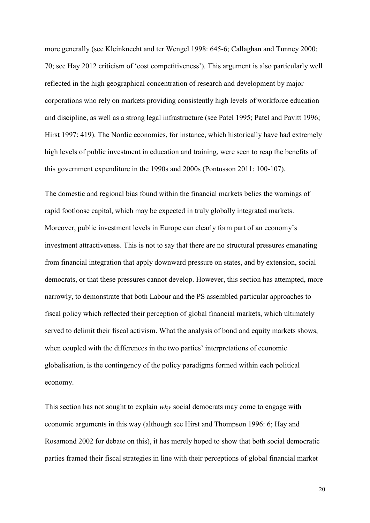more generally (see Kleinknecht and ter Wengel 1998: 645-6; Callaghan and Tunney 2000: 70; see Hay 2012 criticism of 'cost competitiveness'). This argument is also particularly well reflected in the high geographical concentration of research and development by major corporations who rely on markets providing consistently high levels of workforce education and discipline, as well as a strong legal infrastructure (see Patel 1995; Patel and Pavitt 1996; Hirst 1997: 419). The Nordic economies, for instance, which historically have had extremely high levels of public investment in education and training, were seen to reap the benefits of this government expenditure in the 1990s and 2000s (Pontusson 2011: 100-107).

The domestic and regional bias found within the financial markets belies the warnings of rapid footloose capital, which may be expected in truly globally integrated markets. Moreover, public investment levels in Europe can clearly form part of an economy's investment attractiveness. This is not to say that there are no structural pressures emanating from financial integration that apply downward pressure on states, and by extension, social democrats, or that these pressures cannot develop. However, this section has attempted, more narrowly, to demonstrate that both Labour and the PS assembled particular approaches to fiscal policy which reflected their perception of global financial markets, which ultimately served to delimit their fiscal activism. What the analysis of bond and equity markets shows, when coupled with the differences in the two parties' interpretations of economic globalisation, is the contingency of the policy paradigms formed within each political economy.

This section has not sought to explain *why* social democrats may come to engage with economic arguments in this way (although see Hirst and Thompson 1996: 6; Hay and Rosamond 2002 for debate on this), it has merely hoped to show that both social democratic parties framed their fiscal strategies in line with their perceptions of global financial market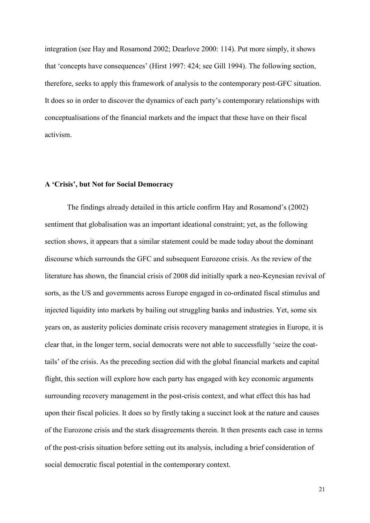integration (see Hay and Rosamond 2002; Dearlove 2000: 114). Put more simply, it shows that 'concepts have consequences' (Hirst 1997: 424; see Gill 1994). The following section, therefore, seeks to apply this framework of analysis to the contemporary post-GFC situation. It does so in order to discover the dynamics of each party's contemporary relationships with conceptualisations of the financial markets and the impact that these have on their fiscal activism.

# **A 'Crisis', but Not for Social Democracy**

The findings already detailed in this article confirm Hay and Rosamond's (2002) sentiment that globalisation was an important ideational constraint; yet, as the following section shows, it appears that a similar statement could be made today about the dominant discourse which surrounds the GFC and subsequent Eurozone crisis. As the review of the literature has shown, the financial crisis of 2008 did initially spark a neo-Keynesian revival of sorts, as the US and governments across Europe engaged in co-ordinated fiscal stimulus and injected liquidity into markets by bailing out struggling banks and industries. Yet, some six years on, as austerity policies dominate crisis recovery management strategies in Europe, it is clear that, in the longer term, social democrats were not able to successfully 'seize the coattails' of the crisis. As the preceding section did with the global financial markets and capital flight, this section will explore how each party has engaged with key economic arguments surrounding recovery management in the post-crisis context, and what effect this has had upon their fiscal policies. It does so by firstly taking a succinct look at the nature and causes of the Eurozone crisis and the stark disagreements therein. It then presents each case in terms of the post-crisis situation before setting out its analysis, including a brief consideration of social democratic fiscal potential in the contemporary context.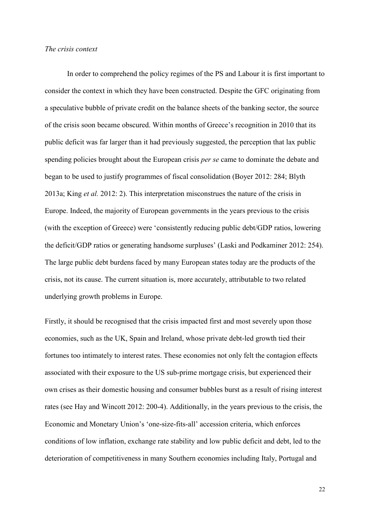#### *The crisis context*

In order to comprehend the policy regimes of the PS and Labour it is first important to consider the context in which they have been constructed. Despite the GFC originating from a speculative bubble of private credit on the balance sheets of the banking sector, the source of the crisis soon became obscured. Within months of Greece's recognition in 2010 that its public deficit was far larger than it had previously suggested, the perception that lax public spending policies brought about the European crisis *per se* came to dominate the debate and began to be used to justify programmes of fiscal consolidation (Boyer 2012: 284; Blyth 2013a; King *et al.* 2012: 2). This interpretation misconstrues the nature of the crisis in Europe. Indeed, the majority of European governments in the years previous to the crisis (with the exception of Greece) were 'consistently reducing public debt/GDP ratios, lowering the deficit/GDP ratios or generating handsome surpluses' (Laski and Podkaminer 2012: 254). The large public debt burdens faced by many European states today are the products of the crisis, not its cause. The current situation is, more accurately, attributable to two related underlying growth problems in Europe.

Firstly, it should be recognised that the crisis impacted first and most severely upon those economies, such as the UK, Spain and Ireland, whose private debt-led growth tied their fortunes too intimately to interest rates. These economies not only felt the contagion effects associated with their exposure to the US sub-prime mortgage crisis, but experienced their own crises as their domestic housing and consumer bubbles burst as a result of rising interest rates (see Hay and Wincott 2012: 200-4). Additionally, in the years previous to the crisis, the Economic and Monetary Union's 'one-size-fits-all' accession criteria, which enforces conditions of low inflation, exchange rate stability and low public deficit and debt, led to the deterioration of competitiveness in many Southern economies including Italy, Portugal and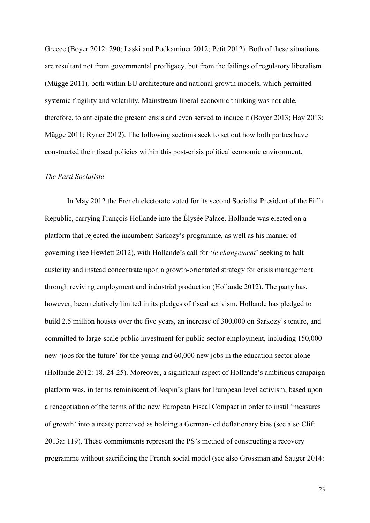Greece (Boyer 2012: 290; Laski and Podkaminer 2012; Petit 2012). Both of these situations are resultant not from governmental profligacy, but from the failings of regulatory liberalism (Mügge 2011)*,* both within EU architecture and national growth models, which permitted systemic fragility and volatility. Mainstream liberal economic thinking was not able, therefore, to anticipate the present crisis and even served to induce it (Boyer 2013; Hay 2013; Mügge 2011; Ryner 2012). The following sections seek to set out how both parties have constructed their fiscal policies within this post-crisis political economic environment.

# *The Parti Socialiste*

In May 2012 the French electorate voted for its second Socialist President of the Fifth Republic, carrying François Hollande into the Élysée Palace. Hollande was elected on a platform that rejected the incumbent Sarkozy's programme, as well as his manner of governing (see Hewlett 2012), with Hollande's call for '*le changement*' seeking to halt austerity and instead concentrate upon a growth-orientated strategy for crisis management through reviving employment and industrial production (Hollande 2012). The party has, however, been relatively limited in its pledges of fiscal activism. Hollande has pledged to build 2.5 million houses over the five years, an increase of 300,000 on Sarkozy's tenure, and committed to large-scale public investment for public-sector employment, including 150,000 new 'jobs for the future' for the young and 60,000 new jobs in the education sector alone (Hollande 2012: 18, 24-25). Moreover, a significant aspect of Hollande's ambitious campaign platform was, in terms reminiscent of Jospin's plans for European level activism, based upon a renegotiation of the terms of the new European Fiscal Compact in order to instil 'measures of growth' into a treaty perceived as holding a German-led deflationary bias (see also Clift 2013a: 119). These commitments represent the PS's method of constructing a recovery programme without sacrificing the French social model (see also Grossman and Sauger 2014: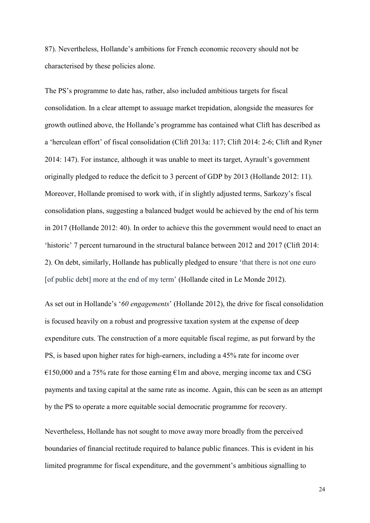87). Nevertheless, Hollande's ambitions for French economic recovery should not be characterised by these policies alone.

The PS's programme to date has, rather, also included ambitious targets for fiscal consolidation. In a clear attempt to assuage market trepidation, alongside the measures for growth outlined above, the Hollande's programme has contained what Clift has described as a 'herculean effort' of fiscal consolidation (Clift 2013a: 117; Clift 2014: 2-6; Clift and Ryner 2014: 147). For instance, although it was unable to meet its target, Ayrault's government originally pledged to reduce the deficit to 3 percent of GDP by 2013 (Hollande 2012: 11). Moreover, Hollande promised to work with, if in slightly adjusted terms, Sarkozy's fiscal consolidation plans, suggesting a balanced budget would be achieved by the end of his term in 2017 (Hollande 2012: 40). In order to achieve this the government would need to enact an 'historic' 7 percent turnaround in the structural balance between 2012 and 2017 (Clift 2014: 2). On debt, similarly, Hollande has publically pledged to ensure 'that there is not one euro [of public debt] more at the end of my term' (Hollande cited in Le Monde 2012).

As set out in Hollande's '*60 engagements*' (Hollande 2012), the drive for fiscal consolidation is focused heavily on a robust and progressive taxation system at the expense of deep expenditure cuts. The construction of a more equitable fiscal regime, as put forward by the PS, is based upon higher rates for high-earners, including a 45% rate for income over  $\epsilon$ 150,000 and a 75% rate for those earning  $\epsilon$ 1m and above, merging income tax and CSG payments and taxing capital at the same rate as income. Again, this can be seen as an attempt by the PS to operate a more equitable social democratic programme for recovery.

Nevertheless, Hollande has not sought to move away more broadly from the perceived boundaries of financial rectitude required to balance public finances. This is evident in his limited programme for fiscal expenditure, and the government's ambitious signalling to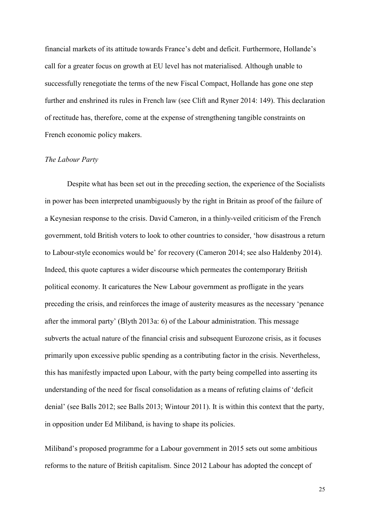financial markets of its attitude towards France's debt and deficit. Furthermore, Hollande's call for a greater focus on growth at EU level has not materialised. Although unable to successfully renegotiate the terms of the new Fiscal Compact, Hollande has gone one step further and enshrined its rules in French law (see Clift and Ryner 2014: 149). This declaration of rectitude has, therefore, come at the expense of strengthening tangible constraints on French economic policy makers.

#### *The Labour Party*

Despite what has been set out in the preceding section, the experience of the Socialists in power has been interpreted unambiguously by the right in Britain as proof of the failure of a Keynesian response to the crisis. David Cameron, in a thinly-veiled criticism of the French government, told British voters to look to other countries to consider, 'how disastrous a return to Labour-style economics would be' for recovery (Cameron 2014; see also Haldenby 2014). Indeed, this quote captures a wider discourse which permeates the contemporary British political economy. It caricatures the New Labour government as profligate in the years preceding the crisis, and reinforces the image of austerity measures as the necessary 'penance after the immoral party' (Blyth 2013a: 6) of the Labour administration. This message subverts the actual nature of the financial crisis and subsequent Eurozone crisis, as it focuses primarily upon excessive public spending as a contributing factor in the crisis. Nevertheless, this has manifestly impacted upon Labour, with the party being compelled into asserting its understanding of the need for fiscal consolidation as a means of refuting claims of 'deficit denial' (see Balls 2012; see Balls 2013; Wintour 2011). It is within this context that the party, in opposition under Ed Miliband, is having to shape its policies.

Miliband's proposed programme for a Labour government in 2015 sets out some ambitious reforms to the nature of British capitalism. Since 2012 Labour has adopted the concept of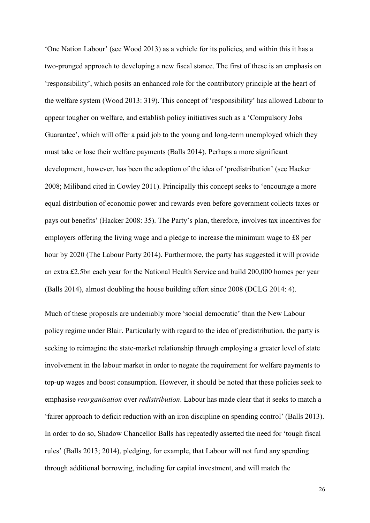'One Nation Labour' (see Wood 2013) as a vehicle for its policies, and within this it has a two-pronged approach to developing a new fiscal stance. The first of these is an emphasis on 'responsibility', which posits an enhanced role for the contributory principle at the heart of the welfare system (Wood 2013: 319). This concept of 'responsibility' has allowed Labour to appear tougher on welfare, and establish policy initiatives such as a 'Compulsory Jobs Guarantee', which will offer a paid job to the young and long-term unemployed which they must take or lose their welfare payments (Balls 2014). Perhaps a more significant development, however, has been the adoption of the idea of 'predistribution' (see Hacker 2008; Miliband cited in Cowley 2011). Principally this concept seeks to 'encourage a more equal distribution of economic power and rewards even before government collects taxes or pays out benefits' (Hacker 2008: 35). The Party's plan, therefore, involves tax incentives for employers offering the living wage and a pledge to increase the minimum wage to £8 per hour by 2020 (The Labour Party 2014). Furthermore, the party has suggested it will provide an extra £2.5bn each year for the National Health Service and build 200,000 homes per year (Balls 2014), almost doubling the house building effort since 2008 (DCLG 2014: 4).

Much of these proposals are undeniably more 'social democratic' than the New Labour policy regime under Blair. Particularly with regard to the idea of predistribution, the party is seeking to reimagine the state-market relationship through employing a greater level of state involvement in the labour market in order to negate the requirement for welfare payments to top-up wages and boost consumption. However, it should be noted that these policies seek to emphasise *reorganisation* over *redistribution*. Labour has made clear that it seeks to match a 'fairer approach to deficit reduction with an iron discipline on spending control' (Balls 2013). In order to do so, Shadow Chancellor Balls has repeatedly asserted the need for 'tough fiscal rules' (Balls 2013; 2014), pledging, for example, that Labour will not fund any spending through additional borrowing, including for capital investment, and will match the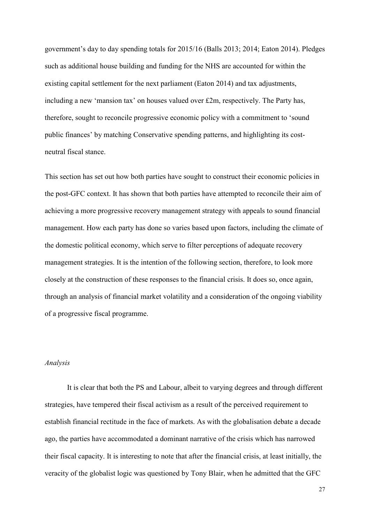government's day to day spending totals for 2015/16 (Balls 2013; 2014; Eaton 2014). Pledges such as additional house building and funding for the NHS are accounted for within the existing capital settlement for the next parliament (Eaton 2014) and tax adjustments, including a new 'mansion tax' on houses valued over £2m, respectively. The Party has, therefore, sought to reconcile progressive economic policy with a commitment to 'sound public finances' by matching Conservative spending patterns, and highlighting its costneutral fiscal stance.

This section has set out how both parties have sought to construct their economic policies in the post-GFC context. It has shown that both parties have attempted to reconcile their aim of achieving a more progressive recovery management strategy with appeals to sound financial management. How each party has done so varies based upon factors, including the climate of the domestic political economy, which serve to filter perceptions of adequate recovery management strategies. It is the intention of the following section, therefore, to look more closely at the construction of these responses to the financial crisis. It does so, once again, through an analysis of financial market volatility and a consideration of the ongoing viability of a progressive fiscal programme.

#### *Analysis*

It is clear that both the PS and Labour, albeit to varying degrees and through different strategies, have tempered their fiscal activism as a result of the perceived requirement to establish financial rectitude in the face of markets. As with the globalisation debate a decade ago, the parties have accommodated a dominant narrative of the crisis which has narrowed their fiscal capacity. It is interesting to note that after the financial crisis, at least initially, the veracity of the globalist logic was questioned by Tony Blair, when he admitted that the GFC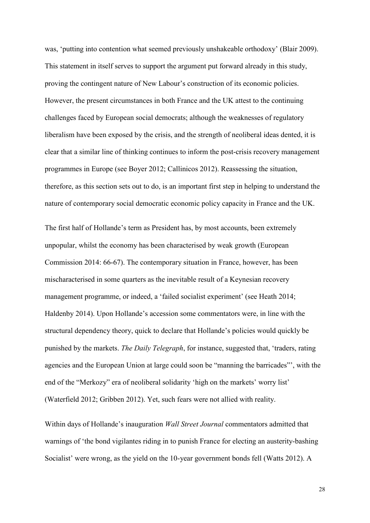was, 'putting into contention what seemed previously unshakeable orthodoxy' (Blair 2009). This statement in itself serves to support the argument put forward already in this study, proving the contingent nature of New Labour's construction of its economic policies. However, the present circumstances in both France and the UK attest to the continuing challenges faced by European social democrats; although the weaknesses of regulatory liberalism have been exposed by the crisis, and the strength of neoliberal ideas dented, it is clear that a similar line of thinking continues to inform the post-crisis recovery management programmes in Europe (see Boyer 2012; Callinicos 2012). Reassessing the situation, therefore, as this section sets out to do, is an important first step in helping to understand the nature of contemporary social democratic economic policy capacity in France and the UK.

The first half of Hollande's term as President has, by most accounts, been extremely unpopular, whilst the economy has been characterised by weak growth (European Commission 2014: 66-67). The contemporary situation in France, however, has been mischaracterised in some quarters as the inevitable result of a Keynesian recovery management programme, or indeed, a 'failed socialist experiment' (see Heath 2014; Haldenby 2014). Upon Hollande's accession some commentators were, in line with the structural dependency theory, quick to declare that Hollande's policies would quickly be punished by the markets. *The Daily Telegraph*, for instance, suggested that, 'traders, rating agencies and the European Union at large could soon be "manning the barricades"', with the end of the "Merkozy" era of neoliberal solidarity 'high on the markets' worry list' (Waterfield 2012; Gribben 2012). Yet, such fears were not allied with reality.

Within days of Hollande's inauguration *Wall Street Journal* commentators admitted that warnings of 'the bond vigilantes riding in to punish France for electing an austerity-bashing Socialist' were wrong, as the yield on the 10-year government bonds fell (Watts 2012). A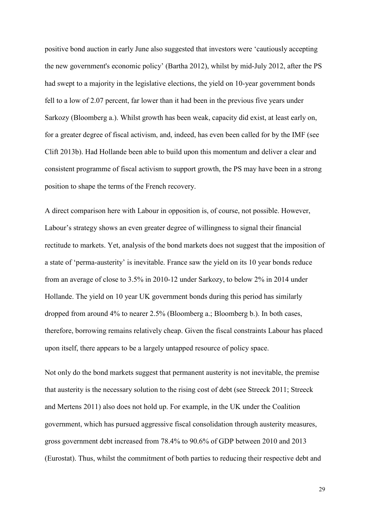positive bond auction in early June also suggested that investors were 'cautiously accepting the new government's economic policy' (Bartha 2012), whilst by mid-July 2012, after the PS had swept to a majority in the legislative elections, the yield on 10-year government bonds fell to a low of 2.07 percent, far lower than it had been in the previous five years under Sarkozy (Bloomberg a.). Whilst growth has been weak, capacity did exist, at least early on, for a greater degree of fiscal activism, and, indeed, has even been called for by the IMF (see Clift 2013b). Had Hollande been able to build upon this momentum and deliver a clear and consistent programme of fiscal activism to support growth, the PS may have been in a strong position to shape the terms of the French recovery.

A direct comparison here with Labour in opposition is, of course, not possible. However, Labour's strategy shows an even greater degree of willingness to signal their financial rectitude to markets. Yet, analysis of the bond markets does not suggest that the imposition of a state of 'perma-austerity' is inevitable. France saw the yield on its 10 year bonds reduce from an average of close to 3.5% in 2010-12 under Sarkozy, to below 2% in 2014 under Hollande. The yield on 10 year UK government bonds during this period has similarly dropped from around 4% to nearer 2.5% (Bloomberg a.; Bloomberg b.). In both cases, therefore, borrowing remains relatively cheap. Given the fiscal constraints Labour has placed upon itself, there appears to be a largely untapped resource of policy space.

Not only do the bond markets suggest that permanent austerity is not inevitable, the premise that austerity is the necessary solution to the rising cost of debt (see Streeck 2011; Streeck and Mertens 2011) also does not hold up. For example, in the UK under the Coalition government, which has pursued aggressive fiscal consolidation through austerity measures, gross government debt increased from 78.4% to 90.6% of GDP between 2010 and 2013 (Eurostat). Thus, whilst the commitment of both parties to reducing their respective debt and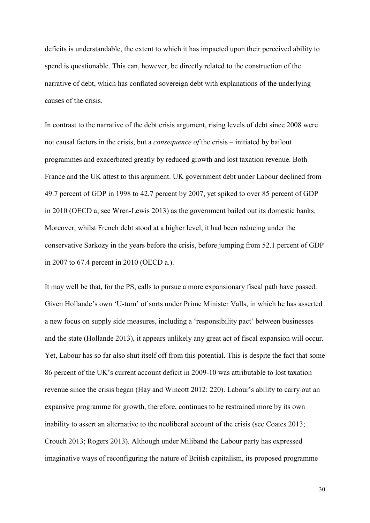deficits is understandable, the extent to which it has impacted upon their perceived ability to spend is questionable. This can, however, be directly related to the construction of the narrative of debt, which has conflated sovereign debt with explanations of the underlying causes of the crisis.

In contrast to the narrative of the debt crisis argument, rising levels of debt since 2008 were not causal factors in the crisis, but a *consequence of* the crisis – initiated by bailout programmes and exacerbated greatly by reduced growth and lost taxation revenue. Both France and the UK attest to this argument. UK government debt under Labour declined from 49.7 percent of GDP in 1998 to 42.7 percent by 2007, yet spiked to over 85 percent of GDP in 2010 (OECD a; see Wren-Lewis 2013) as the government bailed out its domestic banks. Moreover, whilst French debt stood at a higher level, it had been reducing under the conservative Sarkozy in the years before the crisis, before jumping from 52.1 percent of GDP in 2007 to 67.4 percent in 2010 (OECD a.).

It may well be that, for the PS, calls to pursue a more expansionary fiscal path have passed. Given Hollande's own 'U-turn' of sorts under Prime Minister Valls, in which he has asserted a new focus on supply side measures, including a 'responsibility pact' between businesses and the state (Hollande 2013), it appears unlikely any great act of fiscal expansion will occur. Yet, Labour has so far also shut itself off from this potential. This is despite the fact that some 86 percent of the UK's current account deficit in 2009-10 was attributable to lost taxation revenue since the crisis began (Hay and Wincott 2012: 220). Labour's ability to carry out an expansive programme for growth, therefore, continues to be restrained more by its own inability to assert an alternative to the neoliberal account of the crisis (see Coates 2013; Crouch 2013; Rogers 2013). Although under Miliband the Labour party has expressed imaginative ways of reconfiguring the nature of British capitalism, its proposed programme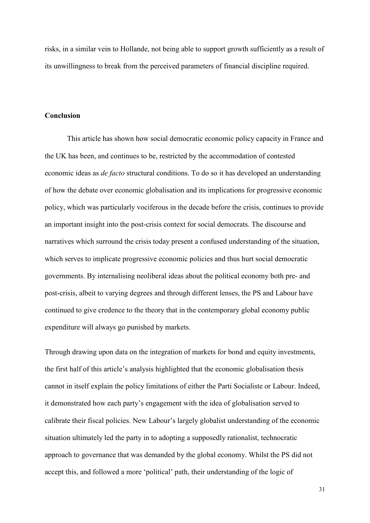risks, in a similar vein to Hollande, not being able to support growth sufficiently as a result of its unwillingness to break from the perceived parameters of financial discipline required.

# **Conclusion**

This article has shown how social democratic economic policy capacity in France and the UK has been, and continues to be, restricted by the accommodation of contested economic ideas as *de facto* structural conditions. To do so it has developed an understanding of how the debate over economic globalisation and its implications for progressive economic policy, which was particularly vociferous in the decade before the crisis, continues to provide an important insight into the post-crisis context for social democrats. The discourse and narratives which surround the crisis today present a confused understanding of the situation, which serves to implicate progressive economic policies and thus hurt social democratic governments. By internalising neoliberal ideas about the political economy both pre- and post-crisis, albeit to varying degrees and through different lenses, the PS and Labour have continued to give credence to the theory that in the contemporary global economy public expenditure will always go punished by markets.

Through drawing upon data on the integration of markets for bond and equity investments, the first half of this article's analysis highlighted that the economic globalisation thesis cannot in itself explain the policy limitations of either the Parti Socialiste or Labour. Indeed, it demonstrated how each party's engagement with the idea of globalisation served to calibrate their fiscal policies. New Labour's largely globalist understanding of the economic situation ultimately led the party in to adopting a supposedly rationalist, technocratic approach to governance that was demanded by the global economy. Whilst the PS did not accept this, and followed a more 'political' path, their understanding of the logic of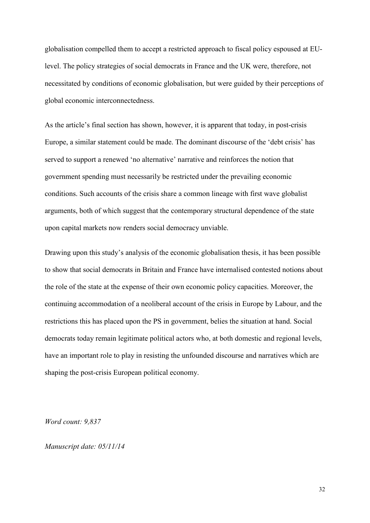globalisation compelled them to accept a restricted approach to fiscal policy espoused at EUlevel. The policy strategies of social democrats in France and the UK were, therefore, not necessitated by conditions of economic globalisation, but were guided by their perceptions of global economic interconnectedness.

As the article's final section has shown, however, it is apparent that today, in post-crisis Europe, a similar statement could be made. The dominant discourse of the 'debt crisis' has served to support a renewed 'no alternative' narrative and reinforces the notion that government spending must necessarily be restricted under the prevailing economic conditions. Such accounts of the crisis share a common lineage with first wave globalist arguments, both of which suggest that the contemporary structural dependence of the state upon capital markets now renders social democracy unviable.

Drawing upon this study's analysis of the economic globalisation thesis, it has been possible to show that social democrats in Britain and France have internalised contested notions about the role of the state at the expense of their own economic policy capacities. Moreover, the continuing accommodation of a neoliberal account of the crisis in Europe by Labour, and the restrictions this has placed upon the PS in government, belies the situation at hand. Social democrats today remain legitimate political actors who, at both domestic and regional levels, have an important role to play in resisting the unfounded discourse and narratives which are shaping the post-crisis European political economy.

*Word count: 9,837*

*Manuscript date: 05/11/14*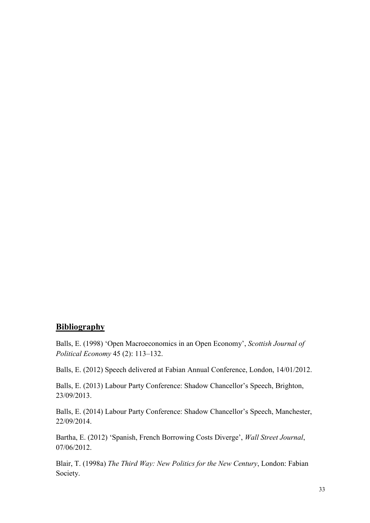# **Bibliography**

Balls, E. (1998) 'Open Macroeconomics in an Open Economy', *Scottish Journal of Political Economy* 45 (2): 113–132.

Balls, E. (2012) Speech delivered at Fabian Annual Conference, London, 14/01/2012.

Balls, E. (2013) Labour Party Conference: Shadow Chancellor's Speech, Brighton, 23/09/2013.

Balls, E. (2014) Labour Party Conference: Shadow Chancellor's Speech, Manchester, 22/09/2014.

Bartha, E. (2012) 'Spanish, French Borrowing Costs Diverge', *Wall Street Journal*, 07/06/2012.

Blair, T. (1998a) *The Third Way: New Politics for the New Century*, London: Fabian Society.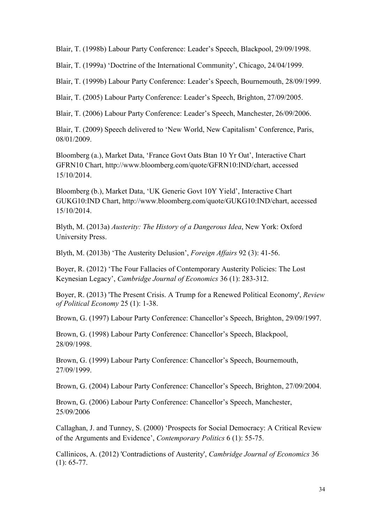Blair, T. (1998b) Labour Party Conference: Leader's Speech, Blackpool, 29/09/1998.

Blair, T. (1999a) 'Doctrine of the International Community', Chicago, 24/04/1999.

Blair, T. (1999b) Labour Party Conference: Leader's Speech, Bournemouth, 28/09/1999.

Blair, T. (2005) Labour Party Conference: Leader's Speech, Brighton, 27/09/2005.

Blair, T. (2006) Labour Party Conference: Leader's Speech, Manchester, 26/09/2006.

Blair, T. (2009) Speech delivered to 'New World, New Capitalism' Conference, Paris, 08/01/2009.

Bloomberg (a.), Market Data, 'France Govt Oats Btan 10 Yr Oat', Interactive Chart GFRN10 Chart, http://www.bloomberg.com/quote/GFRN10:IND/chart, accessed 15/10/2014.

Bloomberg (b.), Market Data, 'UK Generic Govt 10Y Yield', Interactive Chart GUKG10:IND Chart, http://www.bloomberg.com/quote/GUKG10:IND/chart, accessed 15/10/2014.

Blyth, M. (2013a) *Austerity: The History of a Dangerous Idea*, New York: Oxford University Press.

Blyth, M. (2013b) 'The Austerity Delusion', *Foreign Affairs* 92 (3): 41-56.

Boyer, R. (2012) 'The Four Fallacies of Contemporary Austerity Policies: The Lost Keynesian Legacy', *Cambridge Journal of Economics* 36 (1): 283-312.

Boyer, R. (2013) 'The Present Crisis. A Trump for a Renewed Political Economy', *Review of Political Economy* 25 (1): 1-38.

Brown, G. (1997) Labour Party Conference: Chancellor's Speech, Brighton, 29/09/1997.

Brown, G. (1998) Labour Party Conference: Chancellor's Speech, Blackpool, 28/09/1998.

Brown, G. (1999) Labour Party Conference: Chancellor's Speech, Bournemouth, 27/09/1999.

Brown, G. (2004) Labour Party Conference: Chancellor's Speech, Brighton, 27/09/2004.

Brown, G. (2006) Labour Party Conference: Chancellor's Speech, Manchester, 25/09/2006

Callaghan, J. and Tunney, S. (2000) 'Prospects for Social Democracy: A Critical Review of the Arguments and Evidence', *Contemporary Politics* 6 (1): 55-75.

Callinicos, A. (2012) 'Contradictions of Austerity', *Cambridge Journal of Economics* 36  $(1): 65-77.$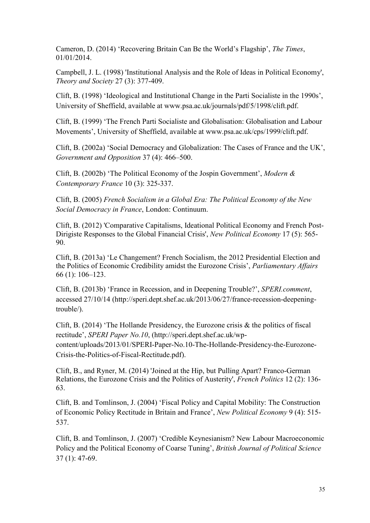Cameron, D. (2014) 'Recovering Britain Can Be the World's Flagship', *The Times*, 01/01/2014.

Campbell, J. L. (1998) 'Institutional Analysis and the Role of Ideas in Political Economy', *Theory and Society* 27 (3): 377-409.

Clift, B. (1998) 'Ideological and Institutional Change in the Parti Socialiste in the 1990s', University of Sheffield, available at www.psa.ac.uk/journals/pdf/5/1998/clift.pdf.

Clift, B. (1999) 'The French Parti Socialiste and Globalisation: Globalisation and Labour Movements', University of Sheffield, available at www.psa.ac.uk/cps/1999/clift.pdf.

Clift, B. (2002a) 'Social Democracy and Globalization: The Cases of France and the UK', *Government and Opposition* 37 (4): 466–500.

Clift, B. (2002b) 'The Political Economy of the Jospin Government', *Modern & Contemporary France* 10 (3): 325-337.

Clift, B. (2005) *French Socialism in a Global Era: The Political Economy of the New Social Democracy in France*, London: Continuum.

Clift, B. (2012) 'Comparative Capitalisms, Ideational Political Economy and French Post-Dirigiste Responses to the Global Financial Crisis', *New Political Economy* 17 (5): 565- 90.

Clift, B. (2013a) 'Le Changement? French Socialism, the 2012 Presidential Election and the Politics of Economic Credibility amidst the Eurozone Crisis', *Parliamentary Affairs* 66 (1): 106–123.

Clift, B. (2013b) 'France in Recession, and in Deepening Trouble?', *SPERI.comment*, accessed 27/10/14 (http://speri.dept.shef.ac.uk/2013/06/27/france-recession-deepeningtrouble/).

Clift, B. (2014) 'The Hollande Presidency, the Eurozone crisis & the politics of fiscal rectitude', *SPERI Paper No.10*, (http://speri.dept.shef.ac.uk/wpcontent/uploads/2013/01/SPERI-Paper-No.10-The-Hollande-Presidency-the-Eurozone-Crisis-the-Politics-of-Fiscal-Rectitude.pdf).

Clift, B., and Ryner, M. (2014) 'Joined at the Hip, but Pulling Apart? Franco-German Relations, the Eurozone Crisis and the Politics of Austerity', *French Politics* 12 (2): 136- 63.

Clift, B. and Tomlinson, J. (2004) 'Fiscal Policy and Capital Mobility: The Construction of Economic Policy Rectitude in Britain and France', *New Political Economy* 9 (4): 515- 537.

Clift, B. and Tomlinson, J. (2007) 'Credible Keynesianism? New Labour Macroeconomic Policy and the Political Economy of Coarse Tuning', *British Journal of Political Science*  37 (1): 47-69.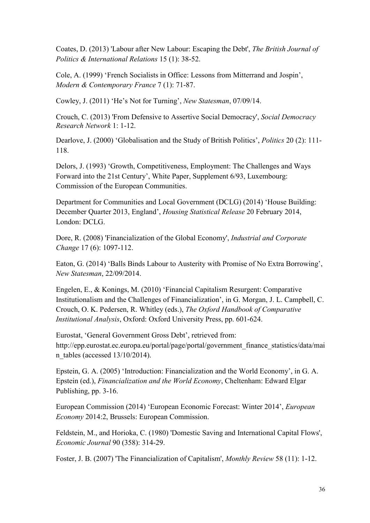Coates, D. (2013) 'Labour after New Labour: Escaping the Debt', *The British Journal of Politics & International Relations* 15 (1): 38-52.

Cole, A. (1999) 'French Socialists in Office: Lessons from Mitterrand and Jospin', *Modern & Contemporary France* 7 (1): 71-87.

Cowley, J. (2011) 'He's Not for Turning', *New Statesman*, 07/09/14.

Crouch, C. (2013) 'From Defensive to Assertive Social Democracy', *Social Democracy Research Network* 1: 1-12.

Dearlove, J. (2000) 'Globalisation and the Study of British Politics', *Politics* 20 (2): 111- 118.

Delors, J. (1993) 'Growth, Competitiveness, Employment: The Challenges and Ways Forward into the 21st Century', White Paper, Supplement 6/93, Luxembourg: Commission of the European Communities.

Department for Communities and Local Government (DCLG) (2014) 'House Building: December Quarter 2013, England', *Housing Statistical Release* 20 February 2014, London: DCLG.

Dore, R. (2008) 'Financialization of the Global Economy', *Industrial and Corporate Change* 17 (6): 1097-112.

Eaton, G. (2014) 'Balls Binds Labour to Austerity with Promise of No Extra Borrowing', *New Statesman*, 22/09/2014.

Engelen, E., & Konings, M. (2010) 'Financial Capitalism Resurgent: Comparative Institutionalism and the Challenges of Financialization', in G. Morgan, J. L. Campbell, C. Crouch, O. K. Pedersen, R. Whitley (eds.), *The Oxford Handbook of Comparative Institutional Analysis*, Oxford: Oxford University Press, pp. 601-624.

Eurostat, 'General Government Gross Debt', retrieved from: http://epp.eurostat.ec.europa.eu/portal/page/portal/government\_finance\_statistics/data/mai n\_tables (accessed 13/10/2014).

Epstein, G. A. (2005) 'Introduction: Financialization and the World Economy', in G. A. Epstein (ed.), *Financialization and the World Economy*, Cheltenham: Edward Elgar Publishing, pp. 3-16.

European Commission (2014) 'European Economic Forecast: Winter 2014', *European Economy* 2014:2, Brussels: European Commission.

Feldstein, M., and Horioka, C. (1980) 'Domestic Saving and International Capital Flows', *Economic Journal* 90 (358): 314-29.

Foster, J. B. (2007) 'The Financialization of Capitalism', *Monthly Review* 58 (11): 1-12.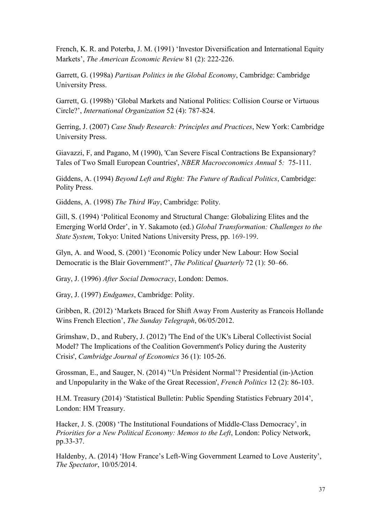French, K. R. and Poterba, J. M. (1991) 'Investor Diversification and International Equity Markets', *The American Economic Review* 81 (2): 222-226.

Garrett, G. (1998a) *Partisan Politics in the Global Economy*, Cambridge: Cambridge University Press.

Garrett, G. (1998b) 'Global Markets and National Politics: Collision Course or Virtuous Circle?', *International Organization* 52 (4): 787-824.

Gerring, J. (2007) *Case Study Research: Principles and Practices*, New York: Cambridge University Press.

Giavazzi, F, and Pagano, M (1990), 'Can Severe Fiscal Contractions Be Expansionary? Tales of Two Small European Countries', *NBER Macroeconomics Annual* 5*:* 75-111.

Giddens, A. (1994) *Beyond Left and Right: The Future of Radical Politics*, Cambridge: Polity Press.

Giddens, A. (1998) *The Third Way*, Cambridge: Polity.

Gill, S. (1994) 'Political Economy and Structural Change: Globalizing Elites and the Emerging World Order', in Y. Sakamoto (ed.) *Global Transformation: Challenges to the State System*, Tokyo: United Nations University Press, pp. 169-199.

Glyn, A. and Wood, S. (2001) 'Economic Policy under New Labour: How Social Democratic is the Blair Government?', *The Political Quarterly* 72 (1): 50–66.

Gray, J. (1996) *After Social Democracy*, London: Demos.

Gray, J. (1997) *Endgames*, Cambridge: Polity.

Gribben, R. (2012) 'Markets Braced for Shift Away From Austerity as Francois Hollande Wins French Election', *The Sunday Telegraph*, 06/05/2012.

Grimshaw, D., and Rubery, J. (2012) 'The End of the UK's Liberal Collectivist Social Model? The Implications of the Coalition Government's Policy during the Austerity Crisis', *Cambridge Journal of Economics* 36 (1): 105-26.

Grossman, E., and Sauger, N. (2014) ''Un Président Normal'? Presidential (in-)Action and Unpopularity in the Wake of the Great Recession', *French Politics* 12 (2): 86-103.

H.M. Treasury (2014) 'Statistical Bulletin: Public Spending Statistics February 2014', London: HM Treasury.

Hacker, J. S. (2008) 'The Institutional Foundations of Middle-Class Democracy', in *Priorities for a New Political Economy: Memos to the Left*, London: Policy Network, pp.33-37.

[Haldenby,](http://www.spectator.co.uk/author/andrew-haldenby/) A. (2014) 'How France's Left-Wing Government Learned to Love Austerity', *The Spectator*, 10/05/2014.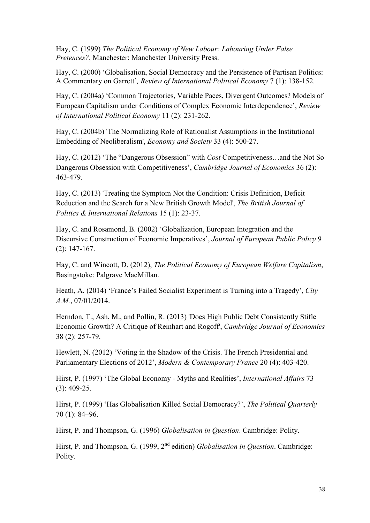Hay, C. (1999) *The Political Economy of New Labour: Labouring Under False Pretences?*, Manchester: Manchester University Press.

Hay, C. (2000) 'Globalisation, Social Democracy and the Persistence of Partisan Politics: A Commentary on Garrett'*, Review of International Political Economy* 7 (1): 138-152.

Hay, C. (2004a) 'Common Trajectories, Variable Paces, Divergent Outcomes? Models of European Capitalism under Conditions of Complex Economic Interdependence', *Review of International Political Economy* 11 (2): 231-262.

Hay, C. (2004b) 'The Normalizing Role of Rationalist Assumptions in the Institutional Embedding of Neoliberalism', *Economy and Society* 33 (4): 500-27.

Hay, C. (2012) 'The "Dangerous Obsession" with *Cost* Competitiveness…and the Not So Dangerous Obsession with Competitiveness', *Cambridge Journal of Economics* 36 (2): 463-479.

Hay, C. (2013) 'Treating the Symptom Not the Condition: Crisis Definition, Deficit Reduction and the Search for a New British Growth Model', *The British Journal of Politics & International Relations* 15 (1): 23-37.

Hay, C. and Rosamond, B. (2002) 'Globalization, European Integration and the Discursive Construction of Economic Imperatives', *Journal of European Public Policy* 9 (2): 147-167.

Hay, C. and Wincott, D. (2012), *The Political Economy of European Welfare Capitalism*, Basingstoke: Palgrave MacMillan.

Heath, A. (2014) 'France's Failed Socialist Experiment is Turning into a Tragedy', *City A.M.*, 07/01/2014.

Herndon, T., Ash, M., and Pollin, R. (2013) 'Does High Public Debt Consistently Stifle Economic Growth? A Critique of Reinhart and Rogoff', *Cambridge Journal of Economics* 38 (2): 257-79.

Hewlett, N. (2012) 'Voting in the Shadow of the Crisis. The French Presidential and Parliamentary Elections of 2012', *Modern & Contemporary France* 20 (4): 403-420.

Hirst, P. (1997) 'The Global Economy - Myths and Realities', *International Affairs* 73 (3): 409-25.

Hirst, P. (1999) 'Has Globalisation Killed Social Democracy?', *The Political Quarterly* 70 (1): 84–96.

Hirst, P. and Thompson, G. (1996) *Globalisation in Question*. Cambridge: Polity.

Hirst, P. and Thompson, G. (1999, 2<sup>nd</sup> edition) *Globalisation in Question*. Cambridge: Polity.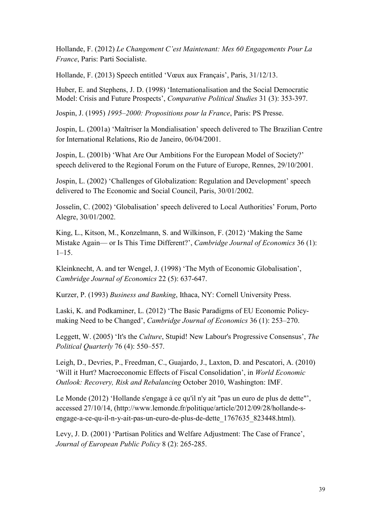Hollande, F. (2012) *Le Changement C'est Maintenant: Mes 60 Engagements Pour La France*, Paris: Parti Socialiste.

Hollande, F. (2013) Speech entitled 'Vœux aux Français', Paris, 31/12/13.

Huber, E. and Stephens, J. D. (1998) 'Internationalisation and the Social Democratic Model: Crisis and Future Prospects', *Comparative Political Studies* 31 (3): 353-397.

Jospin, J. (1995) *1995–2000: Propositions pour la France*, Paris: PS Presse.

Jospin, L. (2001a) 'Maîtriser la Mondialisation' speech delivered to The Brazilian Centre for International Relations, Rio de Janeiro, 06/04/2001.

Jospin, L. (2001b) 'What Are Our Ambitions For the European Model of Society?' speech delivered to the Regional Forum on the Future of Europe, Rennes, 29/10/2001.

Jospin, L. (2002) 'Challenges of Globalization: Regulation and Development' speech delivered to The Economic and Social Council, Paris, 30/01/2002.

Josselin, C. (2002) 'Globalisation' speech delivered to Local Authorities' Forum, Porto Alegre, 30/01/2002.

King, L., Kitson, M., Konzelmann, S. and Wilkinson, F. (2012) 'Making the Same Mistake Again— or Is This Time Different?', *Cambridge Journal of Economics* 36 (1):  $1-15.$ 

Kleinknecht, A. and ter Wengel, J. (1998) 'The Myth of Economic Globalisation', *Cambridge Journal of Economics* 22 (5): 637-647.

Kurzer, P. (1993) *Business and Banking*, Ithaca, NY: Cornell University Press.

Laski, K. and Podkaminer, L. (2012) 'The Basic Paradigms of EU Economic Policymaking Need to be Changed', *Cambridge Journal of Economics* 36 (1): 253–270.

Leggett, W. (2005) 'It's the *Culture*, Stupid! New Labour's Progressive Consensus', *The Political Quarterly* 76 (4): 550–557.

Leigh, D., Devries, P., Freedman, C., Guajardo, J., Laxton, D. and Pescatori, A. (2010) 'Will it Hurt? Macroeconomic Effects of Fiscal Consolidation', in *World Economic Outlook: Recovery, Risk and Rebalancing* October 2010, Washington: IMF.

Le Monde (2012) 'Hollande s'engage à ce qu'il n'y ait "pas un euro de plus de dette"', accessed 27/10/14, (http://www.lemonde.fr/politique/article/2012/09/28/hollande-sengage-a-ce-qu-il-n-y-ait-pas-un-euro-de-plus-de-dette\_1767635\_823448.html).

Levy, J. D. (2001) 'Partisan Politics and Welfare Adjustment: The Case of France', *Journal of European Public Policy* 8 (2): 265-285.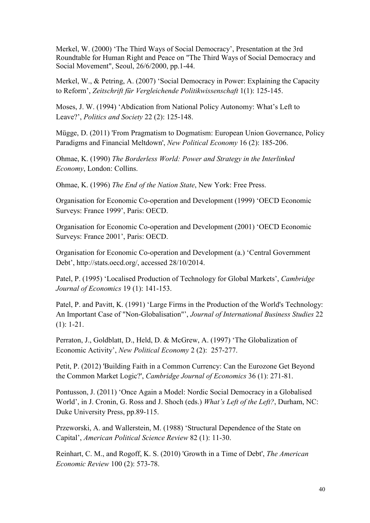Merkel, W. (2000) 'The Third Ways of Social Democracy', Presentation at the 3rd Roundtable for Human Right and Peace on "The Third Ways of Social Democracy and Social Movement", Seoul, 26/6/2000, pp.1-44.

Merkel, W., & Petring, A. (2007) 'Social Democracy in Power: Explaining the Capacity to Reform', *Zeitschrift für Vergleichende Politikwissenschaft* 1(1): 125-145.

Moses, J. W. (1994) 'Abdication from National Policy Autonomy: What's Left to Leave?', *Politics and Society* 22 (2): 125-148.

Mügge, D. (2011) 'From Pragmatism to Dogmatism: European Union Governance, Policy Paradigms and Financial Meltdown', *New Political Economy* 16 (2): 185-206.

Ohmae, K. (1990) *The Borderless World: Power and Strategy in the Interlinked Economy*, London: Collins.

Ohmae, K. (1996) *The End of the Nation State*, New York: Free Press.

Organisation for Economic Co-operation and Development (1999) 'OECD Economic Surveys: France 1999', Paris: OECD.

Organisation for Economic Co-operation and Development (2001) 'OECD Economic Surveys: France 2001', Paris: OECD.

Organisation for Economic Co-operation and Development (a.) 'Central Government Debt', http://stats.oecd.org/, accessed 28/10/2014.

Patel, P. (1995) 'Localised Production of Technology for Global Markets', *Cambridge Journal of Economics* 19 (1): 141-153.

Patel, P. and Pavitt, K. (1991) 'Large Firms in the Production of the World's Technology: An Important Case of "Non-Globalisation"', *Journal of International Business Studies* 22 (1): 1-21.

Perraton, J., Goldblatt, D., Held, D. & McGrew, A. (1997) 'The Globalization of Economic Activity', *New Political Economy* 2 (2): 257-277.

Petit, P. (2012) 'Building Faith in a Common Currency: Can the Eurozone Get Beyond the Common Market Logic?', *Cambridge Journal of Economics* 36 (1): 271-81.

Pontusson, J. (2011) 'Once Again a Model: Nordic Social Democracy in a Globalised World', in J. Cronin, G. Ross and J. Shoch (eds.) *What's Left of the Left?*, Durham, NC: Duke University Press, pp.89-115.

Przeworski, A. and Wallerstein, M. (1988) 'Structural Dependence of the State on Capital', *American Political Science Review* 82 (1): 11-30.

Reinhart, C. M., and Rogoff, K. S. (2010) 'Growth in a Time of Debt', *The American Economic Review* 100 (2): 573-78.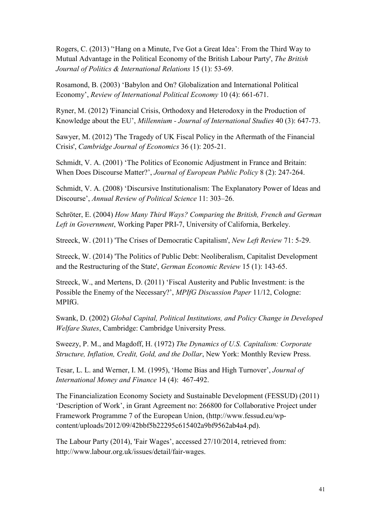Rogers, C. (2013) ''Hang on a Minute, I've Got a Great Idea': From the Third Way to Mutual Advantage in the Political Economy of the British Labour Party', *The British Journal of Politics & International Relations* 15 (1): 53-69.

Rosamond, B. (2003) 'Babylon and On? Globalization and International Political Economy', *Review of International Political Economy* 10 (4): 661-671.

Ryner, M. (2012) 'Financial Crisis, Orthodoxy and Heterodoxy in the Production of Knowledge about the EU', *Millennium - Journal of International Studies* 40 (3): 647-73.

Sawyer, M. (2012) 'The Tragedy of UK Fiscal Policy in the Aftermath of the Financial Crisis', *Cambridge Journal of Economics* 36 (1): 205-21.

Schmidt, V. A. (2001) 'The Politics of Economic Adjustment in France and Britain: When Does Discourse Matter?', *Journal of European Public Policy* 8 (2): 247-264.

Schmidt, V. A. (2008) 'Discursive Institutionalism: The Explanatory Power of Ideas and Discourse', *Annual Review of Political Science* 11: 303–26.

Schröter, E. (2004) *How Many Third Ways? Comparing the British, French and German Left in Government*, Working Paper PRI-7, University of California, Berkeley.

Streeck, W. (2011) 'The Crises of Democratic Capitalism', *New Left Review* 71: 5-29.

Streeck, W. (2014) 'The Politics of Public Debt: Neoliberalism, Capitalist Development and the Restructuring of the State', *German Economic Review* 15 (1): 143-65.

Streeck, W., and Mertens, D. (2011) 'Fiscal Austerity and Public Investment: is the Possible the Enemy of the Necessary?', *MPIfG Discussion Paper* 11/12, Cologne: MPIfG.

Swank, D. (2002) *Global Capital, Political Institutions, and Policy Change in Developed Welfare States*, Cambridge: Cambridge University Press.

Sweezy, P. M., and Magdoff, H. (1972) *The Dynamics of U.S. Capitalism: Corporate Structure, Inflation, Credit, Gold, and the Dollar*, New York: Monthly Review Press.

Tesar, L. L. and Werner, I. M. (1995), 'Home Bias and High Turnover', *Journal of International Money and Finance* 14 (4): 467-492.

The Financialization Economy Society and Sustainable Development (FESSUD) (2011) 'Description of Work', in Grant Agreement no: 266800 for Collaborative Project under Framework Programme 7 of the European Union, (http://www.fessud.eu/wpcontent/uploads/2012/09/42bbf5b22295c615402a9bf9562ab4a4.pd).

The Labour Party (2014), 'Fair Wages', accessed 27/10/2014, retrieved from: http://www.labour.org.uk/issues/detail/fair-wages.